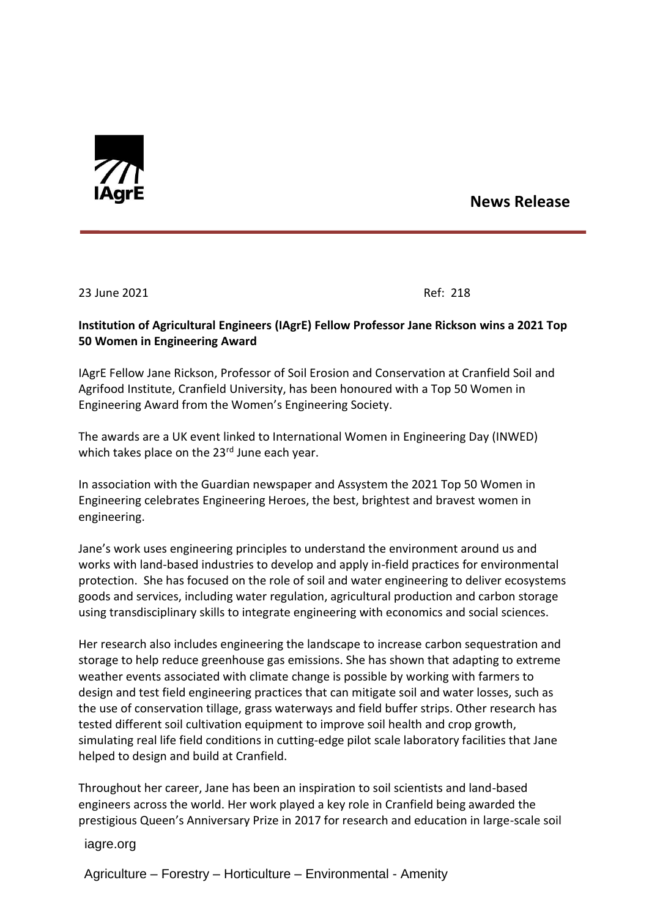

## **News Release**

23 June 2021 Ref: 218

## **Institution of Agricultural Engineers (IAgrE) Fellow Professor Jane Rickson wins a 2021 Top 50 Women in Engineering Award**

IAgrE Fellow Jane Rickson, Professor of Soil Erosion and Conservation at Cranfield Soil and Agrifood Institute, Cranfield University, has been honoured with a Top 50 Women in Engineering Award from the Women's Engineering Society.

The awards are a UK event linked to International Women in Engineering Day (INWED) which takes place on the 23<sup>rd</sup> June each year.

In association with the Guardian newspaper and Assystem the 2021 Top 50 Women in Engineering celebrates Engineering Heroes, the best, brightest and bravest women in engineering.

Jane's work uses engineering principles to understand the environment around us and works with land-based industries to develop and apply in-field practices for environmental protection. She has focused on the role of soil and water engineering to deliver ecosystems goods and services, including water regulation, agricultural production and carbon storage using transdisciplinary skills to integrate engineering with economics and social sciences.

Her research also includes engineering the landscape to increase carbon sequestration and storage to help reduce greenhouse gas emissions. She has shown that adapting to extreme weather events associated with climate change is possible by working with farmers to design and test field engineering practices that can mitigate soil and water losses, such as the use of conservation tillage, grass waterways and field buffer strips. Other research has tested different soil cultivation equipment to improve soil health and crop growth, simulating real life field conditions in cutting-edge pilot scale laboratory facilities that Jane helped to design and build at Cranfield.

Throughout her career, Jane has been an inspiration to soil scientists and land-based engineers across the world. Her work played a key role in Cranfield being awarded the prestigious Queen's Anniversary Prize in 2017 for research and education in large-scale soil

iagre.org

Agriculture – Forestry – Horticulture – Environmental - Amenity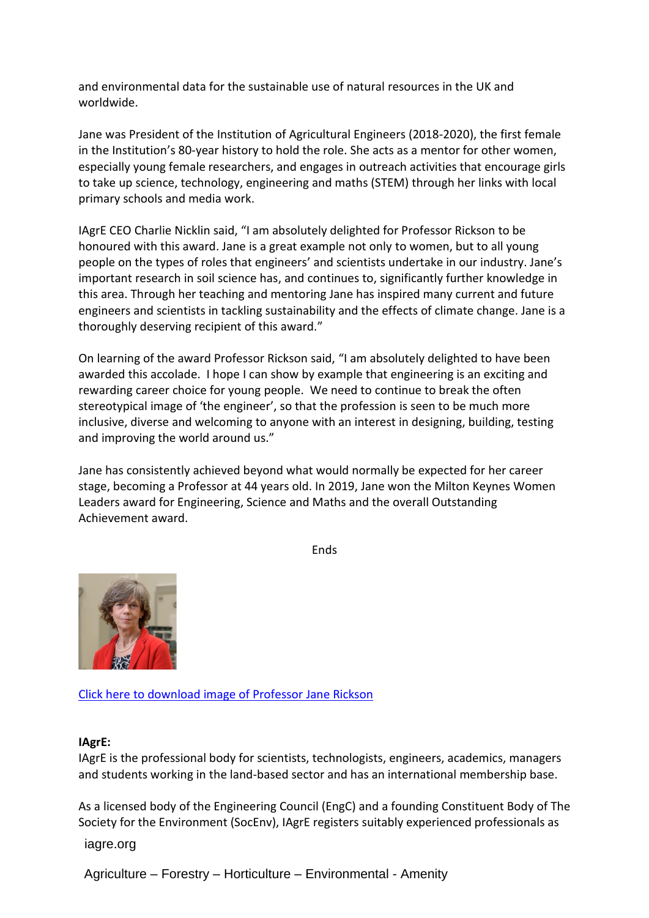and environmental data for the sustainable use of natural resources in the UK and worldwide.

Jane was President of the Institution of Agricultural Engineers (2018-2020), the first female in the Institution's 80-year history to hold the role. She acts as a mentor for other women, especially young female researchers, and engages in outreach activities that encourage girls to take up science, technology, engineering and maths (STEM) through her links with local primary schools and media work.

IAgrE CEO Charlie Nicklin said, "I am absolutely delighted for Professor Rickson to be honoured with this award. Jane is a great example not only to women, but to all young people on the types of roles that engineers' and scientists undertake in our industry. Jane's important research in soil science has, and continues to, significantly further knowledge in this area. Through her teaching and mentoring Jane has inspired many current and future engineers and scientists in tackling sustainability and the effects of climate change. Jane is a thoroughly deserving recipient of this award."

On learning of the award Professor Rickson said, "I am absolutely delighted to have been awarded this accolade. I hope I can show by example that engineering is an exciting and rewarding career choice for young people. We need to continue to break the often stereotypical image of 'the engineer', so that the profession is seen to be much more inclusive, diverse and welcoming to anyone with an interest in designing, building, testing and improving the world around us."

Jane has consistently achieved beyond what would normally be expected for her career stage, becoming a Professor at 44 years old. In 2019, Jane won the Milton Keynes Women Leaders award for Engineering, Science and Maths and the overall Outstanding Achievement award.

Ends



[Click here to download image of Professor Jane Rickson](http://www.iagre.org/upload/1624438810.jpg)

## **IAgrE:**

IAgrE is the professional body for scientists, technologists, engineers, academics, managers and students working in the land-based sector and has an international membership base.

As a licensed body of the Engineering Council (EngC) and a founding Constituent Body of The Society for the Environment (SocEnv), IAgrE registers suitably experienced professionals as

iagre.org

Agriculture – Forestry – Horticulture – Environmental - Amenity